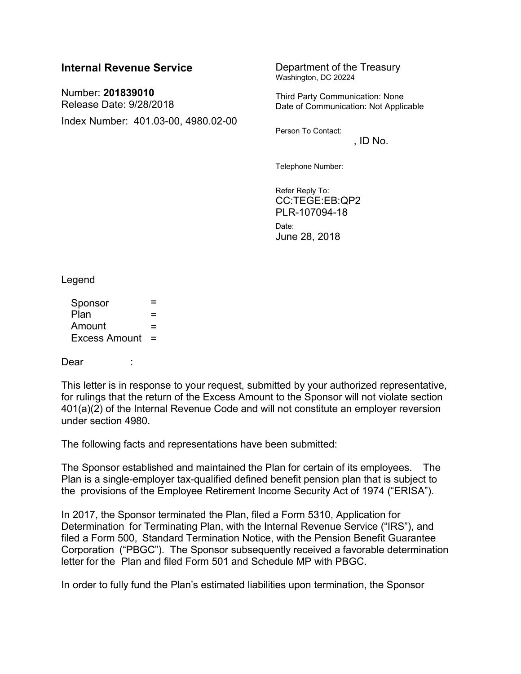## **Internal Revenue Service Department of the Treasury**

Number: **201839010** Release Date: 9/28/2018 Index Number: 401.03-00, 4980.02-00 Washington, DC 20224

Third Party Communication: None Date of Communication: Not Applicable

Person To Contact:

 $.$  ID No.

Telephone Number:

Refer Reply To: CC:TEGE:EB:QP2 PLR-107094-18 Date: June 28, 2018

Legend

 $S$ ponsor  $=$  $Plan \t=$  $Amount =$ Excess Amount =

## Dear :

This letter is in response to your request, submitted by your authorized representative, for rulings that the return of the Excess Amount to the Sponsor will not violate section 401(a)(2) of the Internal Revenue Code and will not constitute an employer reversion under section 4980.

The following facts and representations have been submitted:

The Sponsor established and maintained the Plan for certain of its employees. The Plan is a single-employer tax-qualified defined benefit pension plan that is subject to the provisions of the Employee Retirement Income Security Act of 1974 ("ERISA").

In 2017, the Sponsor terminated the Plan, filed a Form 5310, Application for Determination for Terminating Plan, with the Internal Revenue Service ("IRS"), and filed a Form 500, Standard Termination Notice, with the Pension Benefit Guarantee Corporation ("PBGC"). The Sponsor subsequently received a favorable determination letter for the Plan and filed Form 501 and Schedule MP with PBGC.

In order to fully fund the Plan's estimated liabilities upon termination, the Sponsor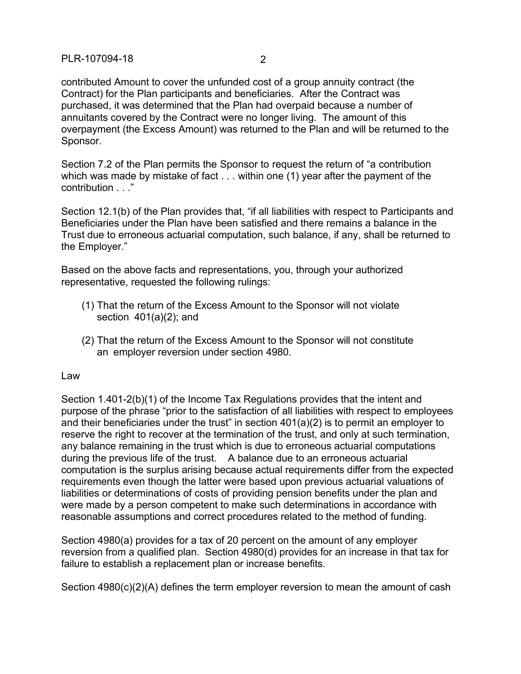contributed Amount to cover the unfunded cost of a group annuity contract (the Contract) for the Plan participants and beneficiaries. After the Contract was purchased, it was determined that the Plan had overpaid because a number of annuitants covered by the Contract were no longer living. The amount of this overpayment (the Excess Amount) was returned to the Plan and will be returned to the Sponsor.

Section 7.2 of the Plan permits the Sponsor to request the return of "a contribution which was made by mistake of fact . . . within one (1) year after the payment of the contribution . . ."

Section 12.1(b) of the Plan provides that, "if all liabilities with respect to Participants and Beneficiaries under the Plan have been satisfied and there remains a balance in the Trust due to erroneous actuarial computation, such balance, if any, shall be returned to the Employer."

Based on the above facts and representations, you, through your authorized representative, requested the following rulings:

- (1) That the return of the Excess Amount to the Sponsor will not violate section  $401(a)(2)$ ; and
- (2) That the return of the Excess Amount to the Sponsor will not constitute an employer reversion under section 4980.

Law

Section 1.401-2(b)(1) of the Income Tax Regulations provides that the intent and purpose of the phrase "prior to the satisfaction of all liabilities with respect to employees and their beneficiaries under the trust" in section 401(a)(2) is to permit an employer to reserve the right to recover at the termination of the trust, and only at such termination, any balance remaining in the trust which is due to erroneous actuarial computations during the previous life of the trust. A balance due to an erroneous actuarial computation is the surplus arising because actual requirements differ from the expected requirements even though the latter were based upon previous actuarial valuations of liabilities or determinations of costs of providing pension benefits under the plan and were made by a person competent to make such determinations in accordance with reasonable assumptions and correct procedures related to the method of funding.

Section 4980(a) provides for a tax of 20 percent on the amount of any employer reversion from a qualified plan. Section 4980(d) provides for an increase in that tax for failure to establish a replacement plan or increase benefits.

Section 4980(c)(2)(A) defines the term employer reversion to mean the amount of cash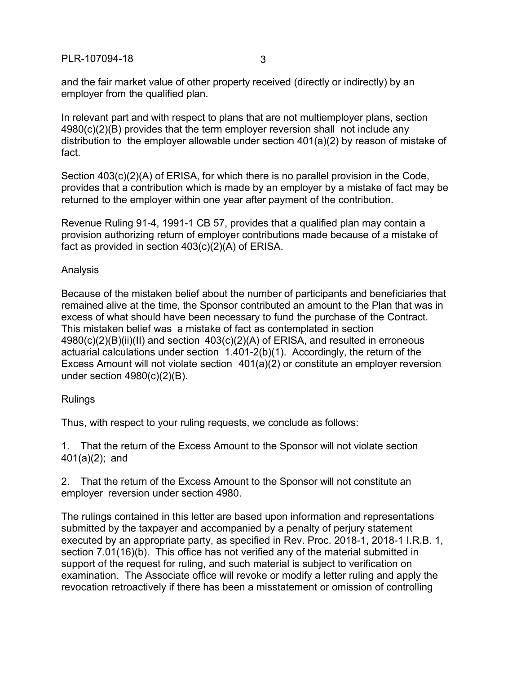and the fair market value of other property received (directly or indirectly) by an employer from the qualified plan.

In relevant part and with respect to plans that are not multiemployer plans, section 4980(c)(2)(B) provides that the term employer reversion shall not include any distribution to the employer allowable under section 401(a)(2) by reason of mistake of fact.

Section 403(c)(2)(A) of ERISA, for which there is no parallel provision in the Code, provides that a contribution which is made by an employer by a mistake of fact may be returned to the employer within one year after payment of the contribution.

Revenue Ruling 91-4, 1991-1 CB 57, provides that a qualified plan may contain a provision authorizing return of employer contributions made because of a mistake of fact as provided in section 403(c)(2)(A) of ERISA.

## Analysis

Because of the mistaken belief about the number of participants and beneficiaries that remained alive at the time, the Sponsor contributed an amount to the Plan that was in excess of what should have been necessary to fund the purchase of the Contract. This mistaken belief was a mistake of fact as contemplated in section  $4980(c)(2)(B)(ii)(II)$  and section  $403(c)(2)(A)$  of ERISA, and resulted in erroneous actuarial calculations under section 1.401-2(b)(1). Accordingly, the return of the Excess Amount will not violate section 401(a)(2) or constitute an employer reversion under section  $4980(c)(2)(B)$ .

## **Rulings**

Thus, with respect to your ruling requests, we conclude as follows:

1. That the return of the Excess Amount to the Sponsor will not violate section 401(a)(2); and

2. That the return of the Excess Amount to the Sponsor will not constitute an employer reversion under section 4980.

The rulings contained in this letter are based upon information and representations submitted by the taxpayer and accompanied by a penalty of perjury statement executed by an appropriate party, as specified in Rev. Proc. 2018-1, 2018-1 I.R.B. 1, section 7.01(16)(b). This office has not verified any of the material submitted in support of the request for ruling, and such material is subject to verification on examination. The Associate office will revoke or modify a letter ruling and apply the revocation retroactively if there has been a misstatement or omission of controlling